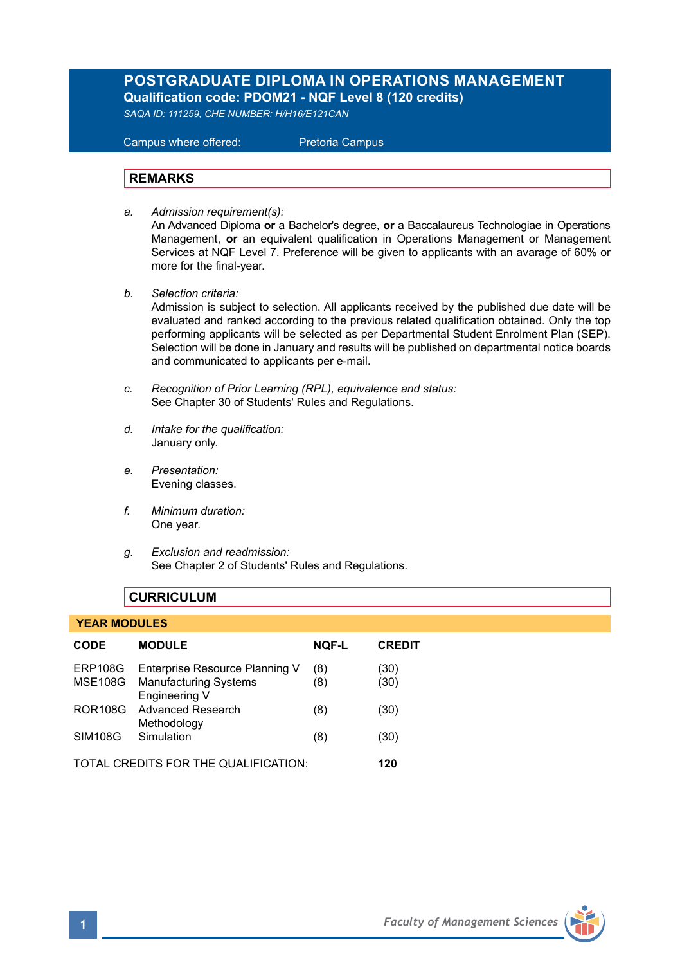# **POSTGRADUATE DIPLOMA IN OPERATIONS MANAGEMENT Qualification code: PDOM21 - NQF Level 8 (120 credits)**

*SAQA ID: 111259, CHE NUMBER: H/H16/E121CAN* 

 Campus where offered: Pretoria Campus

### **REMARKS**

*a. Admission requirement(s):* 

An Advanced Diploma **or** a Bachelor's degree, **or** a Baccalaureus Technologiae in Operations Management, **or** an equivalent qualification in Operations Management or Management Services at NQF Level 7. Preference will be given to applicants with an avarage of 60% or more for the final-year.

*b. Selection criteria:*

Admission is subject to selection. All applicants received by the published due date will be evaluated and ranked according to the previous related qualification obtained. Only the top performing applicants will be selected as per Departmental Student Enrolment Plan (SEP). Selection will be done in January and results will be published on departmental notice boards and communicated to applicants per e-mail.

- *c. Recognition of Prior Learning (RPL), equivalence and status:* See Chapter 30 of Students' Rules and Regulations.
- *d. Intake for the qualification:* January only.
- *e. Presentation:* Evening classes.
- *f. Minimum duration:* One year.
- *g. Exclusion and readmission:* See Chapter 2 of Students' Rules and Regulations.

# **CURRICULUM**

#### **YEAR MODULES**

| <b>CODE</b>                          | <b>MODULE</b>                                                                    | <b>NOF-L</b> | <b>CREDIT</b> |
|--------------------------------------|----------------------------------------------------------------------------------|--------------|---------------|
| ERP108G                              | Enterprise Resource Planning V<br>MSE108G Manufacturing Systems<br>Engineering V | (8)<br>(8)   | (30)<br>(30)  |
| <b>ROR108G</b>                       | Advanced Research<br>Methodology                                                 | (8)          | (30)          |
| <b>SIM108G</b>                       | Simulation                                                                       | (8)          | (30)          |
| TOTAL CREDITS FOR THE QUALIFICATION: |                                                                                  |              | 120           |